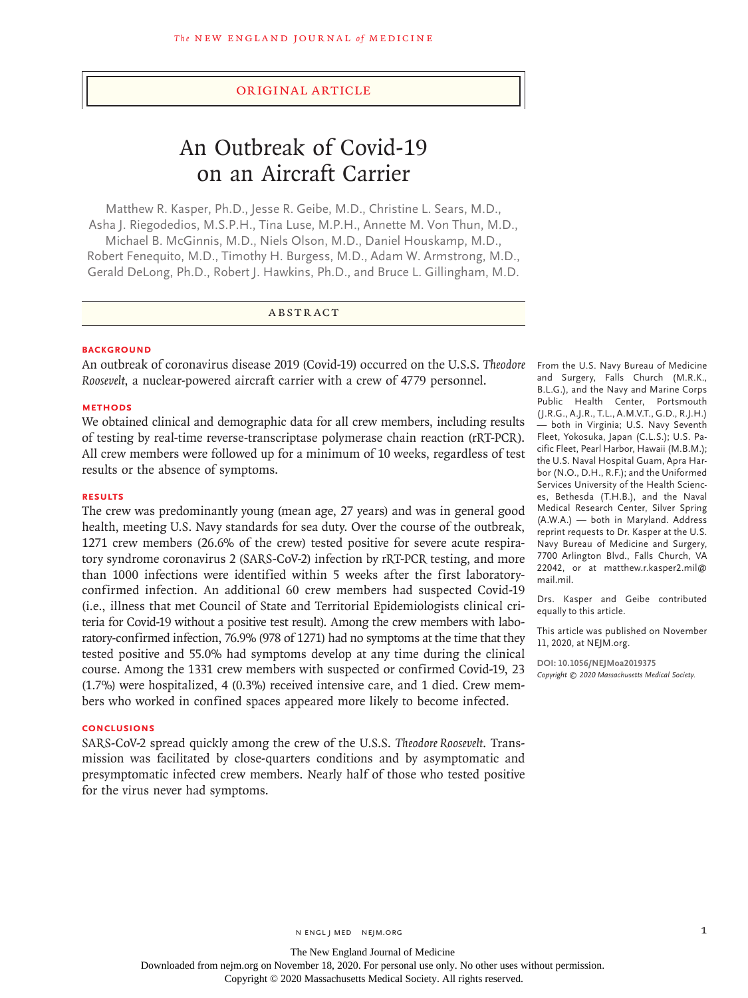## Original Article

# An Outbreak of Covid-19 on an Aircraft Carrier

Matthew R. Kasper, Ph.D., Jesse R. Geibe, M.D., Christine L. Sears, M.D., Asha J. Riegodedios, M.S.P.H., Tina Luse, M.P.H., Annette M. Von Thun, M.D., Michael B. McGinnis, M.D., Niels Olson, M.D., Daniel Houskamp, M.D., Robert Fenequito, M.D., Timothy H. Burgess, M.D., Adam W. Armstrong, M.D., Gerald DeLong, Ph.D., Robert J. Hawkins, Ph.D., and Bruce L. Gillingham, M.D.

## ABSTRACT

## **BACKGROUND**

An outbreak of coronavirus disease 2019 (Covid-19) occurred on the U.S.S. *Theodore Roosevelt*, a nuclear-powered aircraft carrier with a crew of 4779 personnel.

## **METHODS**

We obtained clinical and demographic data for all crew members, including results of testing by real-time reverse-transcriptase polymerase chain reaction (rRT-PCR). All crew members were followed up for a minimum of 10 weeks, regardless of test results or the absence of symptoms.

## **RESULTS**

The crew was predominantly young (mean age, 27 years) and was in general good health, meeting U.S. Navy standards for sea duty. Over the course of the outbreak, 1271 crew members (26.6% of the crew) tested positive for severe acute respiratory syndrome coronavirus 2 (SARS-CoV-2) infection by rRT-PCR testing, and more than 1000 infections were identified within 5 weeks after the first laboratoryconfirmed infection. An additional 60 crew members had suspected Covid-19 (i.e., illness that met Council of State and Territorial Epidemiologists clinical criteria for Covid-19 without a positive test result). Among the crew members with laboratory-confirmed infection, 76.9% (978 of 1271) had no symptoms at the time that they tested positive and 55.0% had symptoms develop at any time during the clinical course. Among the 1331 crew members with suspected or confirmed Covid-19, 23 (1.7%) were hospitalized, 4 (0.3%) received intensive care, and 1 died. Crew members who worked in confined spaces appeared more likely to become infected.

## **CONCLUSIONS**

SARS-CoV-2 spread quickly among the crew of the U.S.S. *Theodore Roosevelt*. Transmission was facilitated by close-quarters conditions and by asymptomatic and presymptomatic infected crew members. Nearly half of those who tested positive for the virus never had symptoms.

From the U.S. Navy Bureau of Medicine and Surgery, Falls Church (M.R.K., B.L.G.), and the Navy and Marine Corps Public Health Center, Portsmouth (J.R.G., A.J.R., T.L., A.M.V.T., G.D., R.J.H.) — both in Virginia; U.S. Navy Seventh Fleet, Yokosuka, Japan (C.L.S.); U.S. Pacific Fleet, Pearl Harbor, Hawaii (M.B.M.); the U.S. Naval Hospital Guam, Apra Harbor (N.O., D.H., R.F.); and the Uniformed Services University of the Health Sciences, Bethesda (T.H.B.), and the Naval Medical Research Center, Silver Spring (A.W.A.) — both in Maryland. Address reprint requests to Dr. Kasper at the U.S. Navy Bureau of Medicine and Surgery, 7700 Arlington Blvd., Falls Church, VA 22042, or at matthew.r.kasper2.mil@ mail.mil.

Drs. Kasper and Geibe contributed equally to this article.

This article was published on November 11, 2020, at NEJM.org.

**DOI: 10.1056/NEJMoa2019375** *Copyright © 2020 Massachusetts Medical Society.*

Downloaded from nejm.org on November 18, 2020. For personal use only. No other uses without permission.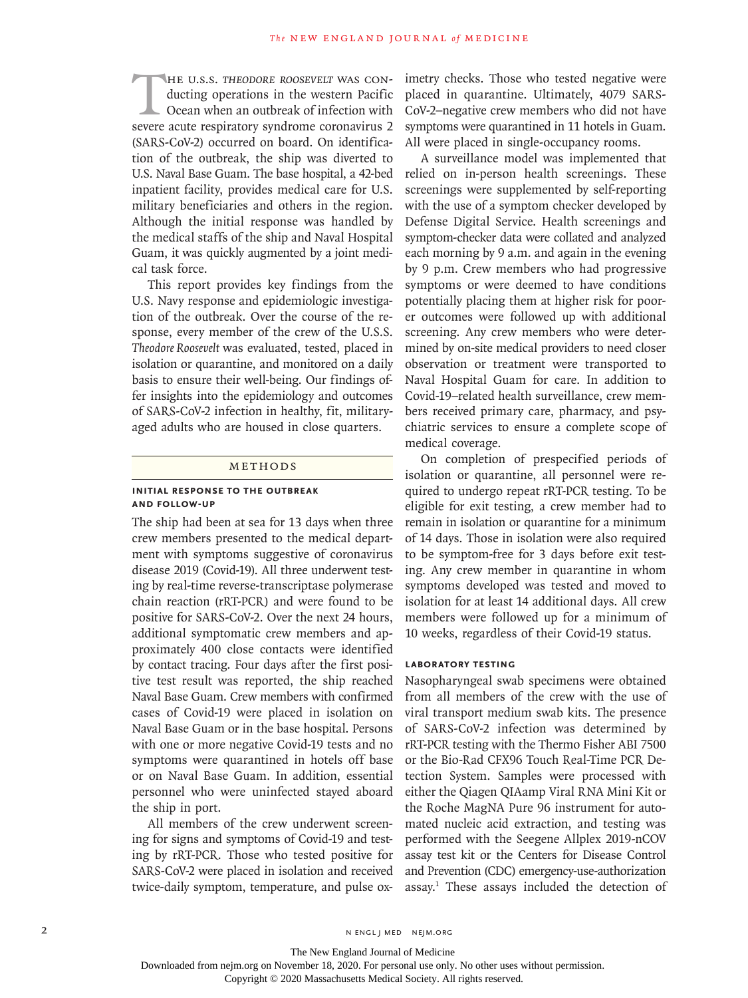THE U.S.S. THEODORE ROOSEVELT WAS CON-<br>ducting operations in the western Pacific<br>Ocean when an outbreak of infection with<br>severe acute respiratory syndrome coronayirus 2 ducting operations in the western Pacific Ocean when an outbreak of infection with severe acute respiratory syndrome coronavirus 2 (SARS-CoV-2) occurred on board. On identification of the outbreak, the ship was diverted to U.S. Naval Base Guam. The base hospital, a 42-bed inpatient facility, provides medical care for U.S. military beneficiaries and others in the region. Although the initial response was handled by the medical staffs of the ship and Naval Hospital Guam, it was quickly augmented by a joint medical task force.

This report provides key findings from the U.S. Navy response and epidemiologic investigation of the outbreak. Over the course of the response, every member of the crew of the U.S.S. *Theodore Roosevelt* was evaluated, tested, placed in isolation or quarantine, and monitored on a daily basis to ensure their well-being. Our findings offer insights into the epidemiology and outcomes of SARS-CoV-2 infection in healthy, fit, militaryaged adults who are housed in close quarters.

#### Methods

## **Initial Response to the Outbreak and Follow-Up**

The ship had been at sea for 13 days when three crew members presented to the medical department with symptoms suggestive of coronavirus disease 2019 (Covid-19). All three underwent testing by real-time reverse-transcriptase polymerase chain reaction (rRT-PCR) and were found to be positive for SARS-CoV-2. Over the next 24 hours, additional symptomatic crew members and approximately 400 close contacts were identified by contact tracing. Four days after the first positive test result was reported, the ship reached Naval Base Guam. Crew members with confirmed cases of Covid-19 were placed in isolation on Naval Base Guam or in the base hospital. Persons with one or more negative Covid-19 tests and no symptoms were quarantined in hotels off base or on Naval Base Guam. In addition, essential personnel who were uninfected stayed aboard the ship in port.

All members of the crew underwent screening for signs and symptoms of Covid-19 and testing by rRT-PCR. Those who tested positive for SARS-CoV-2 were placed in isolation and received twice-daily symptom, temperature, and pulse oximetry checks. Those who tested negative were placed in quarantine. Ultimately, 4079 SARS-CoV-2–negative crew members who did not have symptoms were quarantined in 11 hotels in Guam. All were placed in single-occupancy rooms.

A surveillance model was implemented that relied on in-person health screenings. These screenings were supplemented by self-reporting with the use of a symptom checker developed by Defense Digital Service. Health screenings and symptom-checker data were collated and analyzed each morning by 9 a.m. and again in the evening by 9 p.m. Crew members who had progressive symptoms or were deemed to have conditions potentially placing them at higher risk for poorer outcomes were followed up with additional screening. Any crew members who were determined by on-site medical providers to need closer observation or treatment were transported to Naval Hospital Guam for care. In addition to Covid-19–related health surveillance, crew members received primary care, pharmacy, and psychiatric services to ensure a complete scope of medical coverage.

On completion of prespecified periods of isolation or quarantine, all personnel were required to undergo repeat rRT-PCR testing. To be eligible for exit testing, a crew member had to remain in isolation or quarantine for a minimum of 14 days. Those in isolation were also required to be symptom-free for 3 days before exit testing. Any crew member in quarantine in whom symptoms developed was tested and moved to isolation for at least 14 additional days. All crew members were followed up for a minimum of 10 weeks, regardless of their Covid-19 status.

## **Laboratory Testing**

Nasopharyngeal swab specimens were obtained from all members of the crew with the use of viral transport medium swab kits. The presence of SARS-CoV-2 infection was determined by rRT-PCR testing with the Thermo Fisher ABI 7500 or the Bio-Rad CFX96 Touch Real-Time PCR Detection System. Samples were processed with either the Qiagen QIAamp Viral RNA Mini Kit or the Roche MagNA Pure 96 instrument for automated nucleic acid extraction, and testing was performed with the Seegene Allplex 2019-nCOV assay test kit or the Centers for Disease Control and Prevention (CDC) emergency-use-authorization assay.1 These assays included the detection of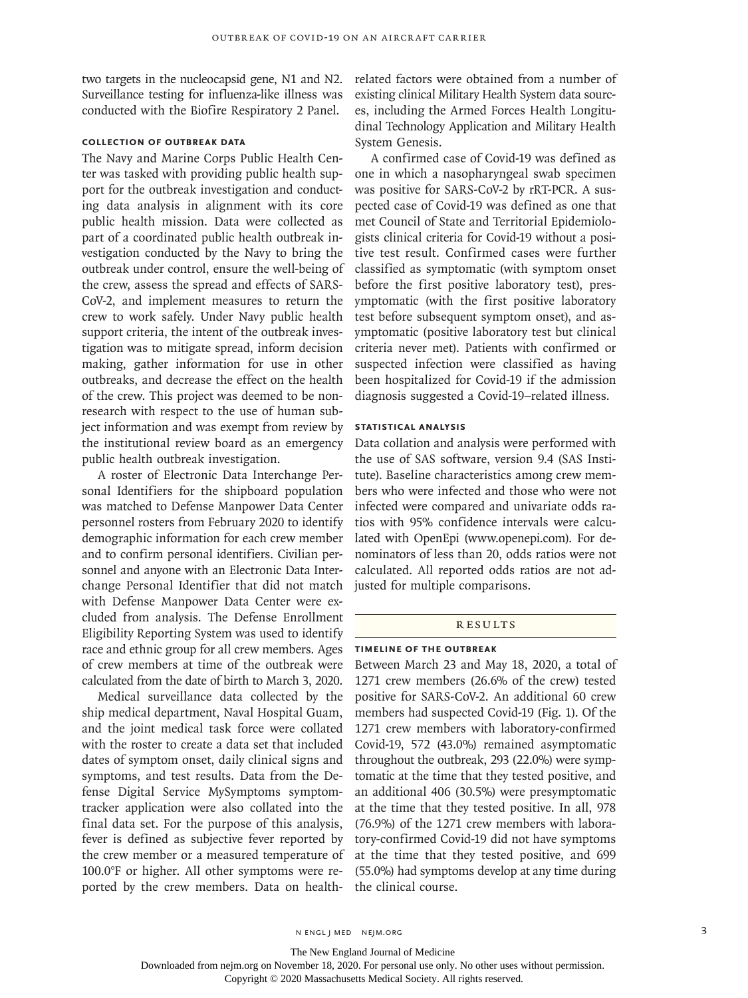two targets in the nucleocapsid gene, N1 and N2. Surveillance testing for influenza-like illness was conducted with the Biofire Respiratory 2 Panel.

# **Collection of Outbreak Data**

The Navy and Marine Corps Public Health Center was tasked with providing public health support for the outbreak investigation and conducting data analysis in alignment with its core public health mission. Data were collected as part of a coordinated public health outbreak investigation conducted by the Navy to bring the outbreak under control, ensure the well-being of the crew, assess the spread and effects of SARS-CoV-2, and implement measures to return the crew to work safely. Under Navy public health support criteria, the intent of the outbreak investigation was to mitigate spread, inform decision making, gather information for use in other outbreaks, and decrease the effect on the health of the crew. This project was deemed to be nonresearch with respect to the use of human subject information and was exempt from review by the institutional review board as an emergency public health outbreak investigation.

A roster of Electronic Data Interchange Personal Identifiers for the shipboard population was matched to Defense Manpower Data Center personnel rosters from February 2020 to identify demographic information for each crew member and to confirm personal identifiers. Civilian personnel and anyone with an Electronic Data Interchange Personal Identifier that did not match with Defense Manpower Data Center were excluded from analysis. The Defense Enrollment Eligibility Reporting System was used to identify race and ethnic group for all crew members. Ages of crew members at time of the outbreak were calculated from the date of birth to March 3, 2020.

Medical surveillance data collected by the ship medical department, Naval Hospital Guam, and the joint medical task force were collated with the roster to create a data set that included dates of symptom onset, daily clinical signs and symptoms, and test results. Data from the Defense Digital Service MySymptoms symptomtracker application were also collated into the final data set. For the purpose of this analysis, fever is defined as subjective fever reported by the crew member or a measured temperature of 100.0°F or higher. All other symptoms were reported by the crew members. Data on healthrelated factors were obtained from a number of existing clinical Military Health System data sources, including the Armed Forces Health Longitudinal Technology Application and Military Health System Genesis.

A confirmed case of Covid-19 was defined as one in which a nasopharyngeal swab specimen was positive for SARS-CoV-2 by rRT-PCR. A suspected case of Covid-19 was defined as one that met Council of State and Territorial Epidemiologists clinical criteria for Covid-19 without a positive test result. Confirmed cases were further classified as symptomatic (with symptom onset before the first positive laboratory test), presymptomatic (with the first positive laboratory test before subsequent symptom onset), and asymptomatic (positive laboratory test but clinical criteria never met). Patients with confirmed or suspected infection were classified as having been hospitalized for Covid-19 if the admission diagnosis suggested a Covid-19–related illness.

# **Statistical Analysis**

Data collation and analysis were performed with the use of SAS software, version 9.4 (SAS Institute). Baseline characteristics among crew members who were infected and those who were not infected were compared and univariate odds ratios with 95% confidence intervals were calculated with OpenEpi (www.openepi.com). For denominators of less than 20, odds ratios were not calculated. All reported odds ratios are not adjusted for multiple comparisons.

## **RESULTS**

### **Timeline of the Outbreak**

Between March 23 and May 18, 2020, a total of 1271 crew members (26.6% of the crew) tested positive for SARS-CoV-2. An additional 60 crew members had suspected Covid-19 (Fig. 1). Of the 1271 crew members with laboratory-confirmed Covid-19, 572 (43.0%) remained asymptomatic throughout the outbreak, 293 (22.0%) were symptomatic at the time that they tested positive, and an additional 406 (30.5%) were presymptomatic at the time that they tested positive. In all, 978 (76.9%) of the 1271 crew members with laboratory-confirmed Covid-19 did not have symptoms at the time that they tested positive, and 699 (55.0%) had symptoms develop at any time during the clinical course.

The New England Journal of Medicine

Downloaded from nejm.org on November 18, 2020. For personal use only. No other uses without permission.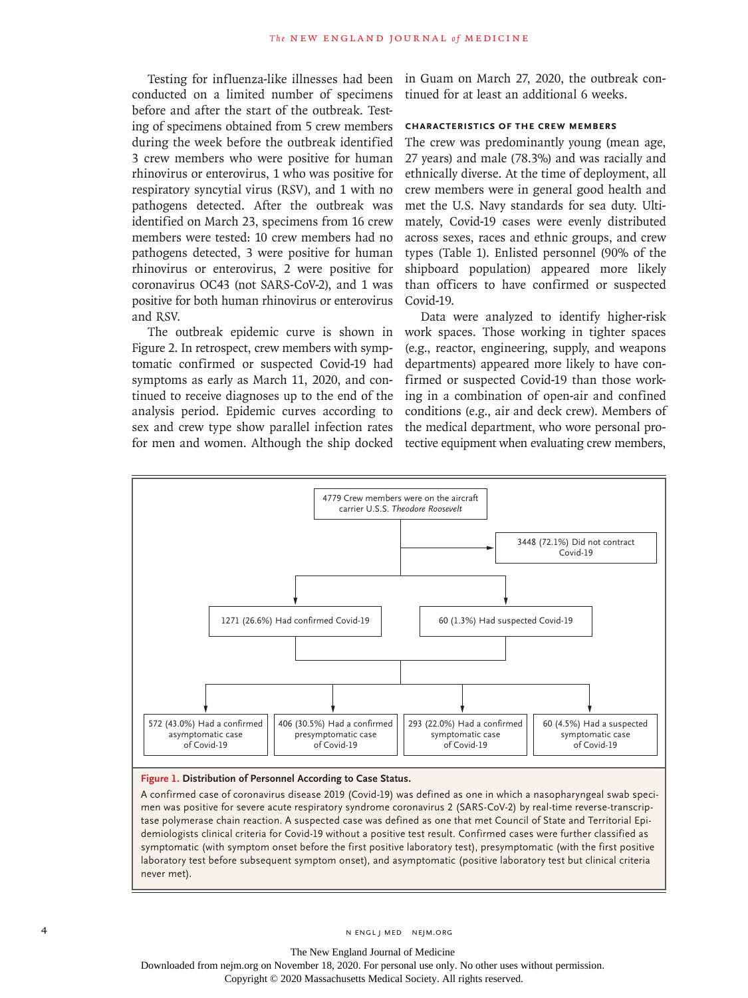conducted on a limited number of specimens before and after the start of the outbreak. Testing of specimens obtained from 5 crew members during the week before the outbreak identified 3 crew members who were positive for human rhinovirus or enterovirus, 1 who was positive for respiratory syncytial virus (RSV), and 1 with no pathogens detected. After the outbreak was identified on March 23, specimens from 16 crew members were tested: 10 crew members had no pathogens detected, 3 were positive for human rhinovirus or enterovirus, 2 were positive for coronavirus OC43 (not SARS-CoV-2), and 1 was positive for both human rhinovirus or enterovirus and RSV.

The outbreak epidemic curve is shown in Figure 2. In retrospect, crew members with symptomatic confirmed or suspected Covid-19 had symptoms as early as March 11, 2020, and continued to receive diagnoses up to the end of the analysis period. Epidemic curves according to sex and crew type show parallel infection rates for men and women. Although the ship docked

Testing for influenza-like illnesses had been in Guam on March 27, 2020, the outbreak continued for at least an additional 6 weeks.

## **Characteristics of the Crew Members**

The crew was predominantly young (mean age, 27 years) and male (78.3%) and was racially and ethnically diverse. At the time of deployment, all crew members were in general good health and met the U.S. Navy standards for sea duty. Ultimately, Covid-19 cases were evenly distributed across sexes, races and ethnic groups, and crew types (Table 1). Enlisted personnel (90% of the shipboard population) appeared more likely than officers to have confirmed or suspected Covid-19.

Data were analyzed to identify higher-risk work spaces. Those working in tighter spaces (e.g., reactor, engineering, supply, and weapons departments) appeared more likely to have confirmed or suspected Covid-19 than those working in a combination of open-air and confined conditions (e.g., air and deck crew). Members of the medical department, who wore personal protective equipment when evaluating crew members,



#### **Figure 1. Distribution of Personnel According to Case Status.**

A confirmed case of coronavirus disease 2019 (Covid-19) was defined as one in which a nasopharyngeal swab specimen was positive for severe acute respiratory syndrome coronavirus 2 (SARS-CoV-2) by real-time reverse-transcriptase polymerase chain reaction. A suspected case was defined as one that met Council of State and Territorial Epidemiologists clinical criteria for Covid-19 without a positive test result. Confirmed cases were further classified as symptomatic (with symptom onset before the first positive laboratory test), presymptomatic (with the first positive laboratory test before subsequent symptom onset), and asymptomatic (positive laboratory test but clinical criteria never met).

The New England Journal of Medicine

Downloaded from nejm.org on November 18, 2020. For personal use only. No other uses without permission.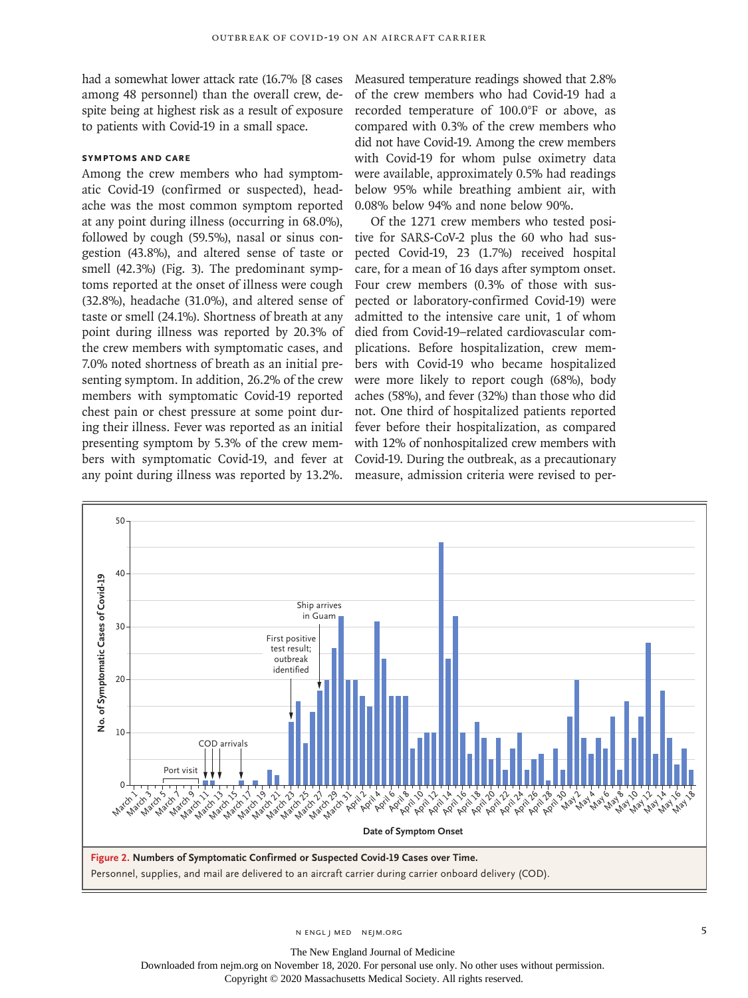had a somewhat lower attack rate (16.7% [8 cases among 48 personnel) than the overall crew, despite being at highest risk as a result of exposure to patients with Covid-19 in a small space.

## **Symptoms and Care**

Among the crew members who had symptomatic Covid-19 (confirmed or suspected), headache was the most common symptom reported at any point during illness (occurring in 68.0%), followed by cough (59.5%), nasal or sinus congestion (43.8%), and altered sense of taste or smell (42.3%) (Fig. 3). The predominant symptoms reported at the onset of illness were cough (32.8%), headache (31.0%), and altered sense of taste or smell (24.1%). Shortness of breath at any point during illness was reported by 20.3% of the crew members with symptomatic cases, and 7.0% noted shortness of breath as an initial presenting symptom. In addition, 26.2% of the crew members with symptomatic Covid-19 reported chest pain or chest pressure at some point during their illness. Fever was reported as an initial presenting symptom by 5.3% of the crew members with symptomatic Covid-19, and fever at any point during illness was reported by 13.2%.

Measured temperature readings showed that 2.8% of the crew members who had Covid-19 had a recorded temperature of 100.0°F or above, as compared with 0.3% of the crew members who did not have Covid-19. Among the crew members with Covid-19 for whom pulse oximetry data were available, approximately 0.5% had readings below 95% while breathing ambient air, with 0.08% below 94% and none below 90%.

Of the 1271 crew members who tested positive for SARS-CoV-2 plus the 60 who had suspected Covid-19, 23 (1.7%) received hospital care, for a mean of 16 days after symptom onset. Four crew members (0.3% of those with suspected or laboratory-confirmed Covid-19) were admitted to the intensive care unit, 1 of whom died from Covid-19–related cardiovascular complications. Before hospitalization, crew members with Covid-19 who became hospitalized were more likely to report cough (68%), body aches (58%), and fever (32%) than those who did not. One third of hospitalized patients reported fever before their hospitalization, as compared with 12% of nonhospitalized crew members with Covid-19. During the outbreak, as a precautionary measure, admission criteria were revised to per-



The New England Journal of Medicine Downloaded from nejm.org on November 18, 2020. For personal use only. No other uses without permission.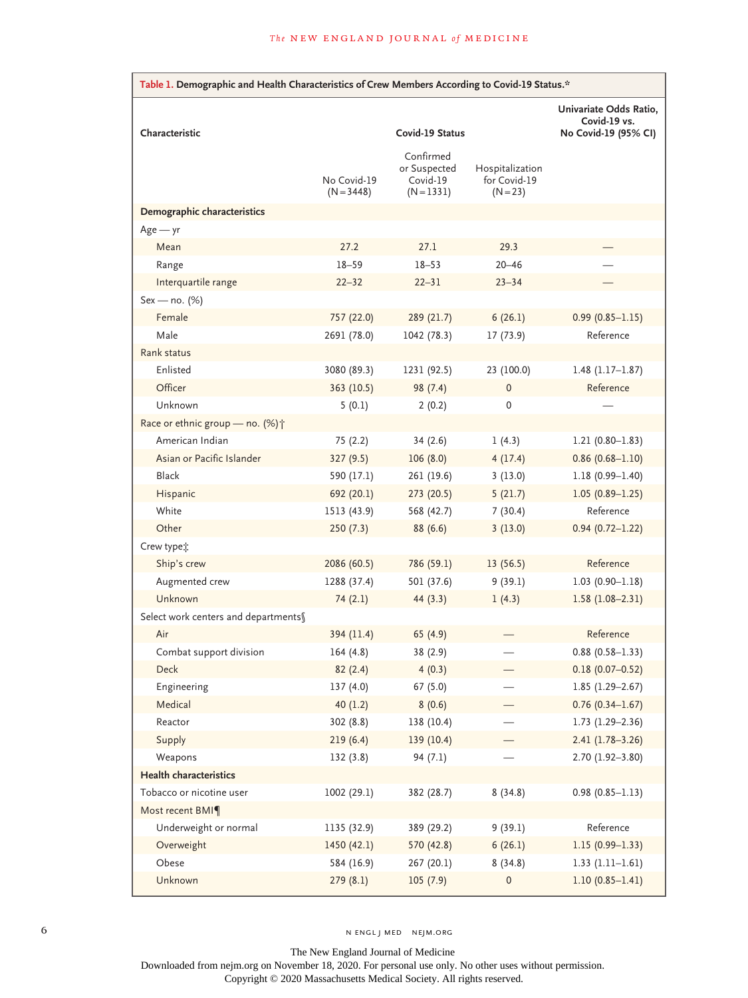| Table 1. Demographic and Health Characteristics of Crew Members According to Covid-19 Status.* |                             |                                                       |                                               |                                        |  |  |
|------------------------------------------------------------------------------------------------|-----------------------------|-------------------------------------------------------|-----------------------------------------------|----------------------------------------|--|--|
|                                                                                                |                             |                                                       |                                               | Univariate Odds Ratio,<br>Covid-19 vs. |  |  |
| Characteristic                                                                                 | Covid-19 Status             |                                                       |                                               | No Covid-19 (95% CI)                   |  |  |
|                                                                                                | No Covid-19<br>$(N = 3448)$ | Confirmed<br>or Suspected<br>Covid-19<br>$(N = 1331)$ | Hospitalization<br>for Covid-19<br>$(N = 23)$ |                                        |  |  |
| Demographic characteristics                                                                    |                             |                                                       |                                               |                                        |  |  |
| $Age - yr$                                                                                     |                             |                                                       |                                               |                                        |  |  |
| Mean                                                                                           | 27.2                        | 27.1                                                  | 29.3                                          |                                        |  |  |
| Range                                                                                          | $18 - 59$                   | $18 - 53$                                             | $20 - 46$                                     |                                        |  |  |
| Interquartile range                                                                            | $22 - 32$                   | $22 - 31$                                             | $23 - 34$                                     |                                        |  |  |
| Sex - no. (%)                                                                                  |                             |                                                       |                                               |                                        |  |  |
| Female                                                                                         | 757 (22.0)                  | 289 (21.7)                                            | 6(26.1)                                       | $0.99(0.85 - 1.15)$                    |  |  |
| Male                                                                                           | 2691 (78.0)                 | 1042 (78.3)                                           | 17 (73.9)                                     | Reference                              |  |  |
| Rank status                                                                                    |                             |                                                       |                                               |                                        |  |  |
| Enlisted                                                                                       | 3080 (89.3)                 | 1231 (92.5)                                           | 23 (100.0)                                    | $1.48(1.17-1.87)$                      |  |  |
| Officer                                                                                        | 363 (10.5)                  | 98 (7.4)                                              | $\mathbf{0}$                                  | Reference                              |  |  |
| Unknown                                                                                        | 5(0.1)                      | 2(0.2)                                                | 0                                             |                                        |  |  |
| Race or ethnic group - no. (%) +                                                               |                             |                                                       |                                               |                                        |  |  |
| American Indian                                                                                | 75 (2.2)                    | 34(2.6)                                               | 1(4.3)                                        | $1.21(0.80 - 1.83)$                    |  |  |
| Asian or Pacific Islander                                                                      | 327 (9.5)                   | 106(8.0)                                              | 4(17.4)                                       | $0.86(0.68 - 1.10)$                    |  |  |
| <b>Black</b>                                                                                   | 590 (17.1)                  | 261 (19.6)                                            | 3(13.0)                                       | $1.18(0.99 - 1.40)$                    |  |  |
| Hispanic                                                                                       | 692 (20.1)                  | 273 (20.5)                                            | 5(21.7)                                       | $1.05(0.89 - 1.25)$                    |  |  |
| White                                                                                          | 1513 (43.9)                 | 568 (42.7)                                            | 7(30.4)                                       | Reference                              |  |  |
| Other                                                                                          | 250(7.3)                    | 88 (6.6)                                              | 3(13.0)                                       | $0.94(0.72 - 1.22)$                    |  |  |
| Crew type :                                                                                    |                             |                                                       |                                               |                                        |  |  |
| Ship's crew                                                                                    | 2086 (60.5)                 | 786 (59.1)                                            | 13 (56.5)                                     | Reference                              |  |  |
| Augmented crew                                                                                 | 1288 (37.4)                 | 501 (37.6)                                            | 9(39.1)                                       | $1.03(0.90 - 1.18)$                    |  |  |
| Unknown                                                                                        | 74(2.1)                     | 44(3.3)                                               | 1(4.3)                                        | $1.58(1.08 - 2.31)$                    |  |  |
| Select work centers and departments                                                            |                             |                                                       |                                               |                                        |  |  |
| Air                                                                                            | 394 (11.4)                  | 65 (4.9)                                              |                                               | Reference                              |  |  |
| Combat support division                                                                        | 164 (4.8)                   | 38 (2.9)                                              |                                               | $0.88(0.58 - 1.33)$                    |  |  |
| Deck                                                                                           | 82(2.4)                     | 4(0.3)                                                |                                               | $0.18(0.07 - 0.52)$                    |  |  |
| Engineering                                                                                    | 137(4.0)                    | 67(5.0)                                               |                                               | $1.85(1.29 - 2.67)$                    |  |  |
| Medical                                                                                        | 40(1.2)                     | 8(0.6)                                                |                                               | $0.76(0.34 - 1.67)$                    |  |  |
| Reactor                                                                                        | 302 (8.8)                   | 138 (10.4)                                            |                                               | $1.73$ (1.29-2.36)                     |  |  |
| Supply                                                                                         | 219(6.4)                    | 139 (10.4)                                            |                                               | $2.41(1.78-3.26)$                      |  |  |
| Weapons                                                                                        | 132(3.8)                    | 94(7.1)                                               |                                               | $2.70(1.92 - 3.80)$                    |  |  |
| <b>Health characteristics</b>                                                                  |                             |                                                       |                                               |                                        |  |  |
| Tobacco or nicotine user                                                                       | 1002 (29.1)                 | 382 (28.7)                                            | 8(34.8)                                       | $0.98(0.85 - 1.13)$                    |  |  |
| Most recent BMI <sup>q</sup>                                                                   |                             |                                                       |                                               |                                        |  |  |
| Underweight or normal                                                                          | 1135 (32.9)                 | 389 (29.2)                                            | 9(39.1)                                       | Reference                              |  |  |
| Overweight                                                                                     | 1450 (42.1)                 | 570 (42.8)                                            | 6(26.1)                                       | $1.15(0.99 - 1.33)$                    |  |  |
| Obese                                                                                          | 584 (16.9)                  | 267 (20.1)                                            | 8(34.8)                                       | $1.33(1.11-1.61)$                      |  |  |
| Unknown                                                                                        | 279(8.1)                    | 105(7.9)                                              | 0                                             | $1.10(0.85 - 1.41)$                    |  |  |

6 N ENGL J MED NEJM.ORG

The New England Journal of Medicine Downloaded from nejm.org on November 18, 2020. For personal use only. No other uses without permission.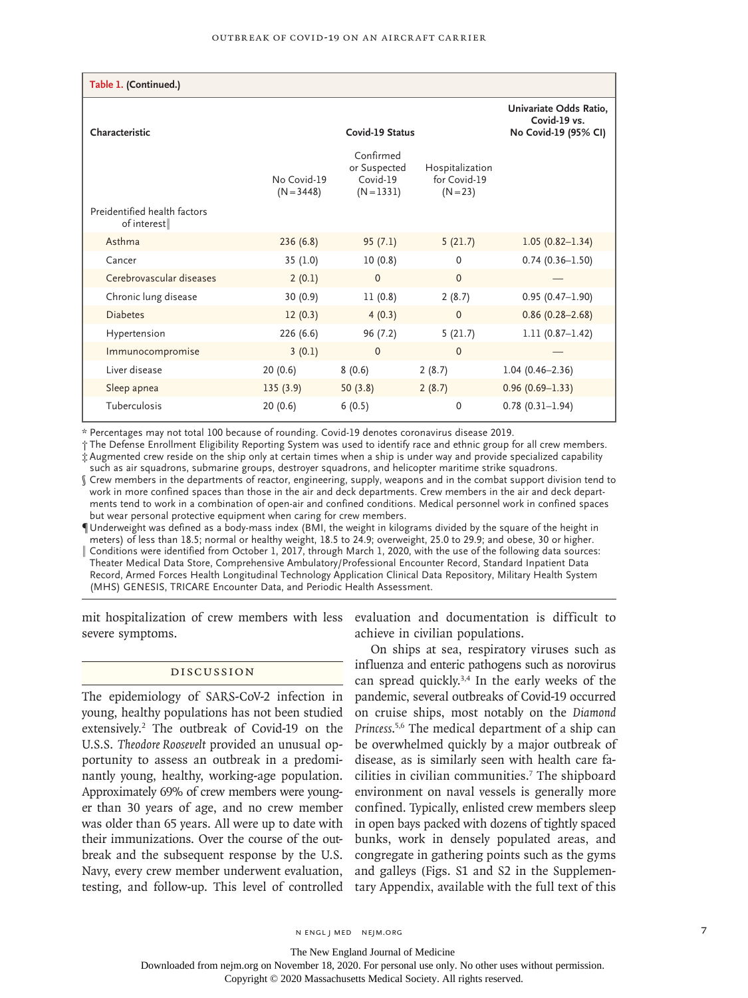| Table 1. (Continued.)                       |                             |                                                                |                                               |                     |
|---------------------------------------------|-----------------------------|----------------------------------------------------------------|-----------------------------------------------|---------------------|
| Characteristic                              |                             | Univariate Odds Ratio,<br>Covid-19 vs.<br>No Covid-19 (95% CI) |                                               |                     |
|                                             | No Covid-19<br>$(N = 3448)$ | Confirmed<br>or Suspected<br>Covid-19<br>$(N = 1331)$          | Hospitalization<br>for Covid-19<br>$(N = 23)$ |                     |
| Preidentified health factors<br>of interest |                             |                                                                |                                               |                     |
| Asthma                                      | 236(6.8)                    | 95(7.1)                                                        | 5(21.7)                                       | $1.05(0.82 - 1.34)$ |
| Cancer                                      | 35 (1.0)                    | 10(0.8)                                                        | $\Omega$                                      | $0.74(0.36 - 1.50)$ |
| Cerebrovascular diseases                    | 2(0.1)                      | $\Omega$                                                       | $\Omega$                                      |                     |
| Chronic lung disease                        | 30(0.9)                     | 11(0.8)                                                        | 2(8.7)                                        | $0.95(0.47 - 1.90)$ |
| <b>Diabetes</b>                             | 12(0.3)                     | 4(0.3)                                                         | $\Omega$                                      | $0.86(0.28 - 2.68)$ |
| Hypertension                                | 226 (6.6)                   | 96 (7.2)                                                       | 5(21.7)                                       | $1.11(0.87-1.42)$   |
| Immunocompromise                            | 3(0.1)                      | $\mathbf{0}$                                                   | $\Omega$                                      |                     |
| Liver disease                               | 20(0.6)                     | 8(0.6)                                                         | 2(8.7)                                        | $1.04(0.46 - 2.36)$ |
| Sleep apnea                                 | 135(3.9)                    | 50(3.8)                                                        | 2(8.7)                                        | $0.96(0.69 - 1.33)$ |
| Tuberculosis                                | 20(0.6)                     | 6(0.5)                                                         | 0                                             | $0.78(0.31-1.94)$   |

\* Percentages may not total 100 because of rounding. Covid-19 denotes coronavirus disease 2019.

† The Defense Enrollment Eligibility Reporting System was used to identify race and ethnic group for all crew members. ‡ Augmented crew reside on the ship only at certain times when a ship is under way and provide specialized capability such as air squadrons, submarine groups, destroyer squadrons, and helicopter maritime strike squadrons.

§ Crew members in the departments of reactor, engineering, supply, weapons and in the combat support division tend to work in more confined spaces than those in the air and deck departments. Crew members in the air and deck departments tend to work in a combination of open-air and confined conditions. Medical personnel work in confined spaces but wear personal protective equipment when caring for crew members.

¶ Underweight was defined as a body-mass index (BMI, the weight in kilograms divided by the square of the height in meters) of less than 18.5; normal or healthy weight, 18.5 to 24.9; overweight, 25.0 to 29.9; and obese, 30 or higher. Conditions were identified from October 1, 2017, through March 1, 2020, with the use of the following data sources: Theater Medical Data Store, Comprehensive Ambulatory/Professional Encounter Record, Standard Inpatient Data Record, Armed Forces Health Longitudinal Technology Application Clinical Data Repository, Military Health System (MHS) GENESIS, TRICARE Encounter Data, and Periodic Health Assessment.

mit hospitalization of crew members with less evaluation and documentation is difficult to severe symptoms.

## Discussion

The epidemiology of SARS-CoV-2 infection in young, healthy populations has not been studied extensively.2 The outbreak of Covid-19 on the U.S.S. *Theodore Roosevelt* provided an unusual opportunity to assess an outbreak in a predominantly young, healthy, working-age population. Approximately 69% of crew members were younger than 30 years of age, and no crew member was older than 65 years. All were up to date with their immunizations. Over the course of the outbreak and the subsequent response by the U.S. Navy, every crew member underwent evaluation, testing, and follow-up. This level of controlled

achieve in civilian populations.

On ships at sea, respiratory viruses such as influenza and enteric pathogens such as norovirus can spread quickly.3,4 In the early weeks of the pandemic, several outbreaks of Covid-19 occurred on cruise ships, most notably on the *Diamond Princess*. 5,6 The medical department of a ship can be overwhelmed quickly by a major outbreak of disease, as is similarly seen with health care facilities in civilian communities.7 The shipboard environment on naval vessels is generally more confined. Typically, enlisted crew members sleep in open bays packed with dozens of tightly spaced bunks, work in densely populated areas, and congregate in gathering points such as the gyms and galleys (Figs. S1 and S2 in the Supplementary Appendix, available with the full text of this

The New England Journal of Medicine

Downloaded from nejm.org on November 18, 2020. For personal use only. No other uses without permission.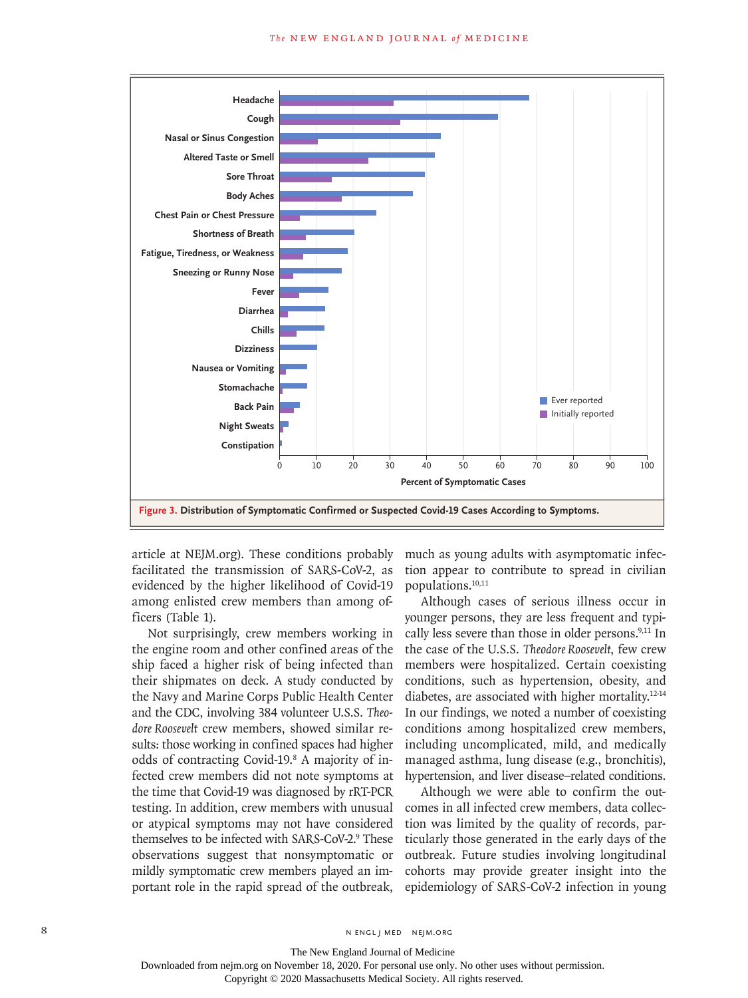

article at NEJM.org). These conditions probably facilitated the transmission of SARS-CoV-2, as evidenced by the higher likelihood of Covid-19 among enlisted crew members than among officers (Table 1).

Not surprisingly, crew members working in the engine room and other confined areas of the ship faced a higher risk of being infected than their shipmates on deck. A study conducted by the Navy and Marine Corps Public Health Center and the CDC, involving 384 volunteer U.S.S. *Theodore Roosevelt* crew members, showed similar results: those working in confined spaces had higher odds of contracting Covid-19.8 A majority of infected crew members did not note symptoms at the time that Covid-19 was diagnosed by rRT-PCR testing. In addition, crew members with unusual or atypical symptoms may not have considered themselves to be infected with SARS-CoV-2.<sup>9</sup> These observations suggest that nonsymptomatic or mildly symptomatic crew members played an important role in the rapid spread of the outbreak,

much as young adults with asymptomatic infection appear to contribute to spread in civilian populations.10,11

Although cases of serious illness occur in younger persons, they are less frequent and typically less severe than those in older persons.<sup>9,11</sup> In the case of the U.S.S. *Theodore Roosevelt*, few crew members were hospitalized. Certain coexisting conditions, such as hypertension, obesity, and diabetes, are associated with higher mortality.12-14 In our findings, we noted a number of coexisting conditions among hospitalized crew members, including uncomplicated, mild, and medically managed asthma, lung disease (e.g., bronchitis), hypertension, and liver disease–related conditions.

Although we were able to confirm the outcomes in all infected crew members, data collection was limited by the quality of records, particularly those generated in the early days of the outbreak. Future studies involving longitudinal cohorts may provide greater insight into the epidemiology of SARS-CoV-2 infection in young

The New England Journal of Medicine Downloaded from nejm.org on November 18, 2020. For personal use only. No other uses without permission.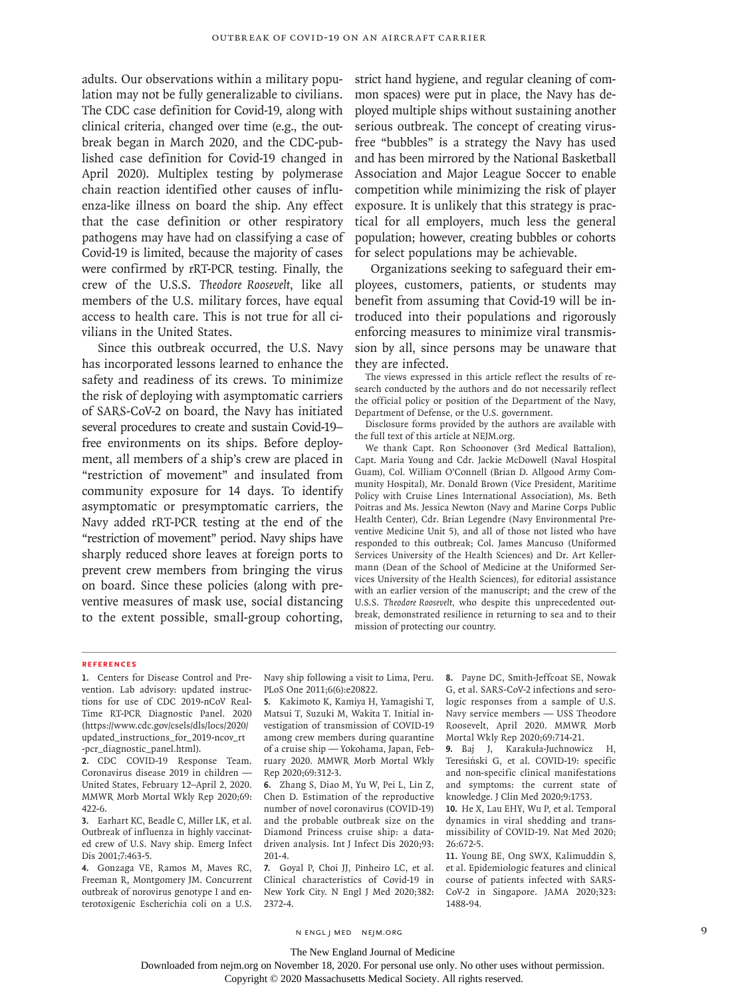adults. Our observations within a military population may not be fully generalizable to civilians. The CDC case definition for Covid-19, along with clinical criteria, changed over time (e.g., the outbreak began in March 2020, and the CDC-published case definition for Covid-19 changed in April 2020). Multiplex testing by polymerase chain reaction identified other causes of influenza-like illness on board the ship. Any effect that the case definition or other respiratory pathogens may have had on classifying a case of Covid-19 is limited, because the majority of cases were confirmed by rRT-PCR testing. Finally, the crew of the U.S.S. *Theodore Roosevelt*, like all members of the U.S. military forces, have equal access to health care. This is not true for all civilians in the United States.

Since this outbreak occurred, the U.S. Navy has incorporated lessons learned to enhance the safety and readiness of its crews. To minimize the risk of deploying with asymptomatic carriers of SARS-CoV-2 on board, the Navy has initiated several procedures to create and sustain Covid-19– free environments on its ships. Before deployment, all members of a ship's crew are placed in "restriction of movement" and insulated from community exposure for 14 days. To identify asymptomatic or presymptomatic carriers, the Navy added rRT-PCR testing at the end of the "restriction of movement" period. Navy ships have sharply reduced shore leaves at foreign ports to prevent crew members from bringing the virus on board. Since these policies (along with preventive measures of mask use, social distancing to the extent possible, small-group cohorting,

strict hand hygiene, and regular cleaning of common spaces) were put in place, the Navy has deployed multiple ships without sustaining another serious outbreak. The concept of creating virusfree "bubbles" is a strategy the Navy has used and has been mirrored by the National Basketball Association and Major League Soccer to enable competition while minimizing the risk of player exposure. It is unlikely that this strategy is practical for all employers, much less the general population; however, creating bubbles or cohorts for select populations may be achievable.

Organizations seeking to safeguard their employees, customers, patients, or students may benefit from assuming that Covid-19 will be introduced into their populations and rigorously enforcing measures to minimize viral transmission by all, since persons may be unaware that they are infected.

The views expressed in this article reflect the results of research conducted by the authors and do not necessarily reflect the official policy or position of the Department of the Navy, Department of Defense, or the U.S. government.

Disclosure forms provided by the authors are available with the full text of this article at NEJM.org.

We thank Capt. Ron Schoonover (3rd Medical Battalion), Capt. Maria Young and Cdr. Jackie McDowell (Naval Hospital Guam), Col. William O'Connell (Brian D. Allgood Army Community Hospital), Mr. Donald Brown (Vice President, Maritime Policy with Cruise Lines International Association), Ms. Beth Poitras and Ms. Jessica Newton (Navy and Marine Corps Public Health Center), Cdr. Brian Legendre (Navy Environmental Preventive Medicine Unit 5), and all of those not listed who have responded to this outbreak; Col. James Mancuso (Uniformed Services University of the Health Sciences) and Dr. Art Kellermann (Dean of the School of Medicine at the Uniformed Services University of the Health Sciences), for editorial assistance with an earlier version of the manuscript; and the crew of the U.S.S. *Theodore Roosevelt*, who despite this unprecedented outbreak, demonstrated resilience in returning to sea and to their mission of protecting our country.

#### **References**

**1.** Centers for Disease Control and Prevention. Lab advisory: updated instructions for use of CDC 2019-nCoV Real-Time RT-PCR Diagnostic Panel. 2020 (https://www.cdc.gov/csels/dls/locs/2020/ updated\_instructions\_for\_2019-ncov\_rt -pcr\_diagnostic\_panel.html).

**2.** CDC COVID-19 Response Team. Coronavirus disease 2019 in children — United States, February 12–April 2, 2020. MMWR Morb Mortal Wkly Rep 2020;69: 422-6.

**3.** Earhart KC, Beadle C, Miller LK, et al. Outbreak of influenza in highly vaccinated crew of U.S. Navy ship. Emerg Infect Dis 2001;7:463-5.

**4.** Gonzaga VE, Ramos M, Maves RC, Freeman R, Montgomery JM. Concurrent outbreak of norovirus genotype I and enterotoxigenic Escherichia coli on a U.S. Navy ship following a visit to Lima, Peru. PLoS One 2011;6(6):e20822.

**5.** Kakimoto K, Kamiya H, Yamagishi T, Matsui T, Suzuki M, Wakita T. Initial investigation of transmission of COVID-19 among crew members during quarantine of a cruise ship — Yokohama, Japan, February 2020. MMWR Morb Mortal Wkly Rep 2020;69:312-3.

**6.** Zhang S, Diao M, Yu W, Pei L, Lin Z, Chen D. Estimation of the reproductive number of novel coronavirus (COVID-19) and the probable outbreak size on the Diamond Princess cruise ship: a datadriven analysis. Int J Infect Dis 2020;93: 201-4.

**7.** Goyal P, Choi JJ, Pinheiro LC, et al. Clinical characteristics of Covid-19 in New York City. N Engl J Med 2020;382: 2372-4.

**8.** Payne DC, Smith-Jeffcoat SE, Nowak G, et al. SARS-CoV-2 infections and serologic responses from a sample of U.S. Navy service members — USS Theodore Roosevelt, April 2020. MMWR Morb Mortal Wkly Rep 2020;69:714-21.

**9.** Baj J, Karakuła-Juchnowicz H, Teresiński G, et al. COVID-19: specific and non-specific clinical manifestations and symptoms: the current state of knowledge. J Clin Med 2020;9:1753.

**10.** He X, Lau EHY, Wu P, et al. Temporal dynamics in viral shedding and transmissibility of COVID-19. Nat Med 2020; 26:672-5.

**11.** Young BE, Ong SWX, Kalimuddin S, et al. Epidemiologic features and clinical course of patients infected with SARS-CoV-2 in Singapore. JAMA 2020;323: 1488-94.

n engl j med nejm.org 9

The New England Journal of Medicine

Downloaded from nejm.org on November 18, 2020. For personal use only. No other uses without permission.